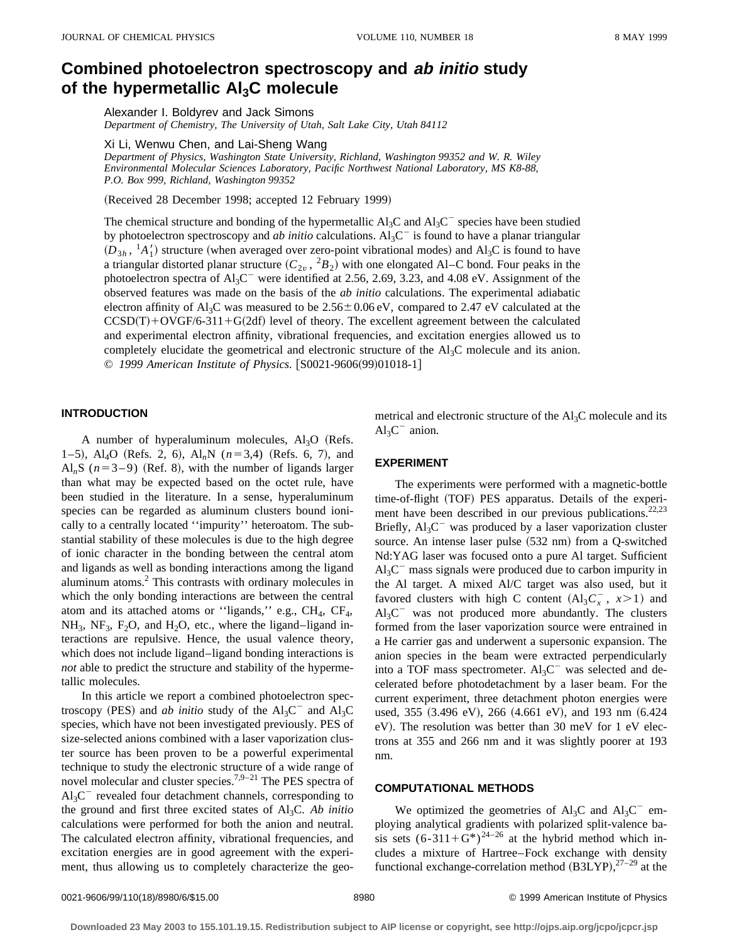# **Combined photoelectron spectroscopy and ab initio study** of the hypermetallic Al<sub>3</sub>C molecule

Alexander I. Boldyrev and Jack Simons

*Department of Chemistry, The University of Utah, Salt Lake City, Utah 84112*

Xi Li, Wenwu Chen, and Lai-Sheng Wang

*Department of Physics, Washington State University, Richland, Washington 99352 and W. R. Wiley Environmental Molecular Sciences Laboratory, Pacific Northwest National Laboratory, MS K8-88, P.O. Box 999, Richland, Washington 99352*

(Received 28 December 1998; accepted 12 February 1999)

The chemical structure and bonding of the hypermetallic  $A<sub>3</sub>C$  and  $A<sub>3</sub>C<sup>-</sup>$  species have been studied by photoelectron spectroscopy and *ab initio* calculations.  $A<sub>3</sub>C<sup>-</sup>$  is found to have a planar triangular  $(D_{3h}, {}^{1}A'_{1})$  structure (when averaged over zero-point vibrational modes) and Al<sub>3</sub>C is found to have a triangular distorted planar structure  $(C_{2v}$ ,  ${}^2B_2$ ) with one elongated Al–C bond. Four peaks in the photoelectron spectra of  $Al_3C^$  were identified at 2.56, 2.69, 3.23, and 4.08 eV. Assignment of the observed features was made on the basis of the *ab initio* calculations. The experimental adiabatic electron affinity of Al<sub>3</sub>C was measured to be  $2.56 \pm 0.06$  eV, compared to 2.47 eV calculated at the  $CCSD(T)+OVGF/6-311+G(2df)$  level of theory. The excellent agreement between the calculated and experimental electron affinity, vibrational frequencies, and excitation energies allowed us to completely elucidate the geometrical and electronic structure of the Al3C molecule and its anion. © 1999 American Institute of Physics. [S0021-9606(99)01018-1]

## **INTRODUCTION**

A number of hyperaluminum molecules,  $Al_3O$  (Refs. 1–5), Al<sub>4</sub>O (Refs. 2, 6), Al<sub>n</sub>N ( $n=3,4$ ) (Refs. 6, 7), and Al<sub>n</sub>S ( $n=3-9$ ) (Ref. 8), with the number of ligands larger than what may be expected based on the octet rule, have been studied in the literature. In a sense, hyperaluminum species can be regarded as aluminum clusters bound ionically to a centrally located ''impurity'' heteroatom. The substantial stability of these molecules is due to the high degree of ionic character in the bonding between the central atom and ligands as well as bonding interactions among the ligand aluminum atoms.<sup>2</sup> This contrasts with ordinary molecules in which the only bonding interactions are between the central atom and its attached atoms or "ligands," e.g.,  $CH_4$ ,  $CF_4$ ,  $NH_3$ , NF<sub>3</sub>, F<sub>2</sub>O, and H<sub>2</sub>O, etc., where the ligand–ligand interactions are repulsive. Hence, the usual valence theory, which does not include ligand–ligand bonding interactions is *not* able to predict the structure and stability of the hypermetallic molecules.

In this article we report a combined photoelectron spectroscopy (PES) and *ab initio* study of the  $Al_3C^{\dagger}$  and  $Al_3C$ species, which have not been investigated previously. PES of size-selected anions combined with a laser vaporization cluster source has been proven to be a powerful experimental technique to study the electronic structure of a wide range of novel molecular and cluster species.<sup>7,9–21</sup> The PES spectra of  $Al<sub>3</sub>C<sup>-</sup>$  revealed four detachment channels, corresponding to the ground and first three excited states of Al3C. *Ab initio* calculations were performed for both the anion and neutral. The calculated electron affinity, vibrational frequencies, and excitation energies are in good agreement with the experiment, thus allowing us to completely characterize the geometrical and electronic structure of the  $Al<sub>3</sub>C$  molecule and its  $Al_3C^-$  anion.

# **EXPERIMENT**

The experiments were performed with a magnetic-bottle time-of-flight (TOF) PES apparatus. Details of the experiment have been described in our previous publications.<sup>22,23</sup> Briefly,  $Al_3C^-$  was produced by a laser vaporization cluster source. An intense laser pulse (532 nm) from a Q-switched Nd:YAG laser was focused onto a pure Al target. Sufficient  $Al<sub>3</sub>C$ <sup>-</sup> mass signals were produced due to carbon impurity in the Al target. A mixed Al/C target was also used, but it favored clusters with high C content  $(Al_3C<sub>x</sub><sup>-</sup>$ ,  $x>1)$  and  $Al<sub>3</sub>C<sup>-</sup>$  was not produced more abundantly. The clusters formed from the laser vaporization source were entrained in a He carrier gas and underwent a supersonic expansion. The anion species in the beam were extracted perpendicularly into a TOF mass spectrometer.  $Al_3C^-$  was selected and decelerated before photodetachment by a laser beam. For the current experiment, three detachment photon energies were used, 355  $(3.496 \text{ eV})$ , 266  $(4.661 \text{ eV})$ , and 193 nm  $(6.424 \text{ eV})$ eV). The resolution was better than 30 meV for 1 eV electrons at 355 and 266 nm and it was slightly poorer at 193 nm.

## **COMPUTATIONAL METHODS**

We optimized the geometries of  $Al_3C$  and  $Al_3C^-$  employing analytical gradients with polarized split-valence basis sets  $(6-311+G^*)^{24-26}$  at the hybrid method which includes a mixture of Hartree–Fock exchange with density functional exchange-correlation method  $(B3LYP),^{27-29}$  at the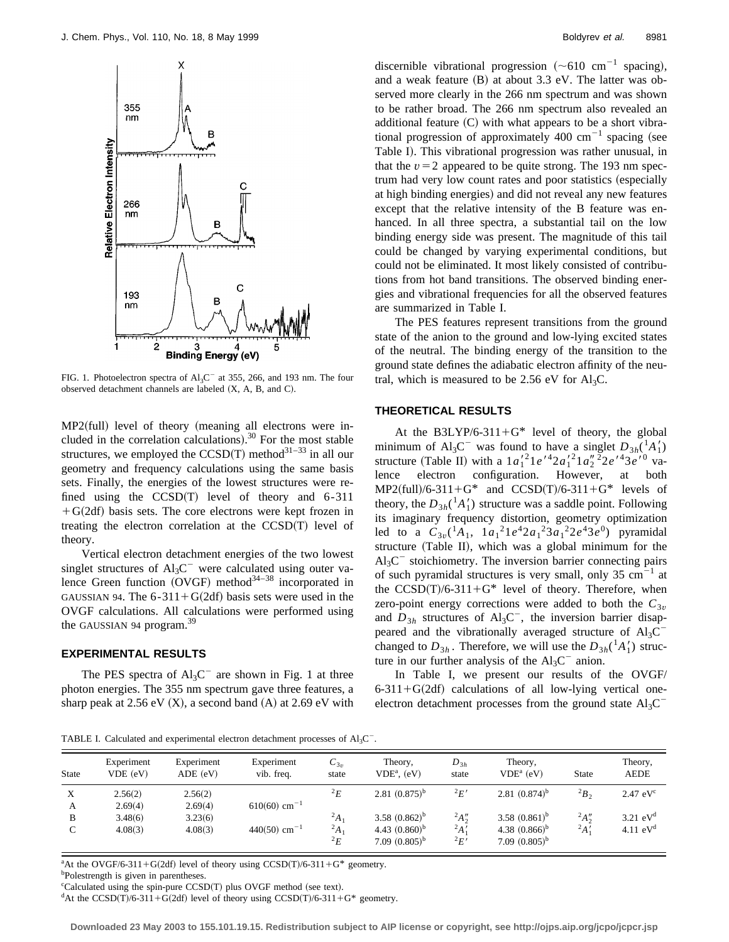

FIG. 1. Photoelectron spectra of  $Al_3C^-$  at 355, 266, and 193 nm. The four observed detachment channels are labeled  $(X, A, B, and C)$ .

 $MP2$ (full) level of theory (meaning all electrons were included in the correlation calculations). $30$  For the most stable structures, we employed the  $CCSD(T)$  method<sup>31–33</sup> in all our geometry and frequency calculations using the same basis sets. Finally, the energies of the lowest structures were refined using the  $CCSD(T)$  level of theory and 6-311  $+G(2df)$  basis sets. The core electrons were kept frozen in treating the electron correlation at the  $CCSD(T)$  level of theory.

Vertical electron detachment energies of the two lowest singlet structures of  $Al_3C^{\dagger}$  were calculated using outer valence Green function  $(OVGF)$  method<sup>34–38</sup> incorporated in GAUSSIAN 94. The  $6-311+G(2df)$  basis sets were used in the OVGF calculations. All calculations were performed using the GAUSSIAN 94 program.<sup>39</sup>

# **EXPERIMENTAL RESULTS**

The PES spectra of  $Al_3C^-$  are shown in Fig. 1 at three photon energies. The 355 nm spectrum gave three features, a sharp peak at  $2.56$  eV  $(X)$ , a second band  $(A)$  at  $2.69$  eV with discernible vibrational progression  $({\sim}610 \text{ cm}^{-1}$  spacing), and a weak feature  $(B)$  at about 3.3 eV. The latter was observed more clearly in the 266 nm spectrum and was shown to be rather broad. The 266 nm spectrum also revealed an additional feature  $(C)$  with what appears to be a short vibrational progression of approximately 400 cm<sup>-1</sup> spacing (see Table I). This vibrational progression was rather unusual, in that the  $v=2$  appeared to be quite strong. The 193 nm spectrum had very low count rates and poor statistics (especially at high binding energies) and did not reveal any new features except that the relative intensity of the B feature was enhanced. In all three spectra, a substantial tail on the low binding energy side was present. The magnitude of this tail could be changed by varying experimental conditions, but could not be eliminated. It most likely consisted of contributions from hot band transitions. The observed binding energies and vibrational frequencies for all the observed features are summarized in Table I.

The PES features represent transitions from the ground state of the anion to the ground and low-lying excited states of the neutral. The binding energy of the transition to the ground state defines the adiabatic electron affinity of the neutral, which is measured to be 2.56 eV for  $Al<sub>3</sub>C$ .

## **THEORETICAL RESULTS**

At the B3LYP/6-311+ $G^*$  level of theory, the global minimum of Al<sub>3</sub>C<sup>-</sup> was found to have a singlet  $D_{3h}({}^{1}_{A}A'_{1})$ structure (Table II) with a  $1a_1'^2 1e^{t^2 2} a_1'^2 1a_2''^2 2e^{t^2 3} e^{t^0}$  valence electron configuration. However, at both  $MP2$ (full)/6-311+G\* and CCSD(T)/6-311+G\* levels of theory, the  $D_{3h}$ <sup>(1</sup> $A_1'$ ) structure was a saddle point. Following its imaginary frequency distortion, geometry optimization led to a  $C_{3v}({}^{1}A_1, 1a_1^{2}1e^42a_1^{2}3a_1^{2}2e^43e^0)$  pyramidal structure (Table II), which was a global minimum for the  $Al<sub>3</sub>C<sup>-</sup>$  stoichiometry. The inversion barrier connecting pairs of such pyramidal structures is very small, only  $35 \text{ cm}^{-1}$  at the  $CCSD(T)/6-311+G^*$  level of theory. Therefore, when zero-point energy corrections were added to both the  $C_{3v}$ and  $D_{3h}$  structures of  $\text{Al}_3\text{C}^-$ , the inversion barrier disappeared and the vibrationally averaged structure of  $Al_3C$ <sup>-</sup> changed to  $D_{3h}$ . Therefore, we will use the  $D_{3h}({}^{1}A'_{1})$  structure in our further analysis of the  $Al<sub>3</sub>C<sup>-</sup>$  anion.

In Table I, we present our results of the OVGF/  $6-311+G(2df)$  calculations of all low-lying vertical oneelectron detachment processes from the ground state  $\text{Al}_3\text{C}^2$ 

TABLE I. Calculated and experimental electron detachment processes of  $Al<sub>3</sub>C$ <sup>-</sup>.

| <b>State</b> | Experiment<br>$VDE$ (eV) | Experiment<br>ADE (eV) | Experiment<br>vib. freq.   | $C_{3v}$<br>state    | Theory,<br>$VDEa$ . $(eV)$             | $D_{3h}$<br>state          | Theory.<br>$VDEa$ (eV)                 | <b>State</b> | Theory,<br><b>AEDE</b> |
|--------------|--------------------------|------------------------|----------------------------|----------------------|----------------------------------------|----------------------------|----------------------------------------|--------------|------------------------|
| X            | 2.56(2)                  | 2.56(2)                |                            | ${}^2E$              | 2.81 $(0.875)^{b}$                     | ${}^2E'$                   | 2.81 $(0.874)^{b}$                     | $^{2}B_{2}$  | $2.47$ eV $c$          |
| А            | 2.69(4)                  | 2.69(4)                | $610(60)$ cm <sup>-1</sup> |                      |                                        |                            |                                        |              |                        |
| B            | 3.48(6)                  | 3.23(6)                |                            | $^{2}A_{1}$          | 3.58 $(0.862)^{b}$                     | $^{2}A_{2}^{\prime\prime}$ | 3.58 $(0.861)^{b}$                     | $^{2}A''$    | $3.21$ eV <sup>d</sup> |
| C            | 4.08(3)                  | 4.08(3)                | $440(50)$ cm <sup>-1</sup> | $^{2}A_1$<br>${}^2E$ | 4.43 $(0.860)^b$<br>$7.09~(0.805)^{b}$ | $^{2}A'_{1}$<br>${}^2E'$   | 4.38 $(0.866)^b$<br>7.09 $(0.805)^{b}$ | $^{2}A'$     | 4.11 $eVd$             |

<sup>a</sup>At the OVGF/6-311+G(2df) level of theory using CCSD(T)/6-311+G\* geometry.

<sup>c</sup>Calculated using the spin-pure CCSD(T) plus OVGF method (see text).

<sup>d</sup>At the CCSD(T)/6-311+G(2df) level of theory using CCSD(T)/6-311+G\* geometry.

**Downloaded 23 May 2003 to 155.101.19.15. Redistribution subject to AIP license or copyright, see http://ojps.aip.org/jcpo/jcpcr.jsp**

b Polestrength is given in parentheses.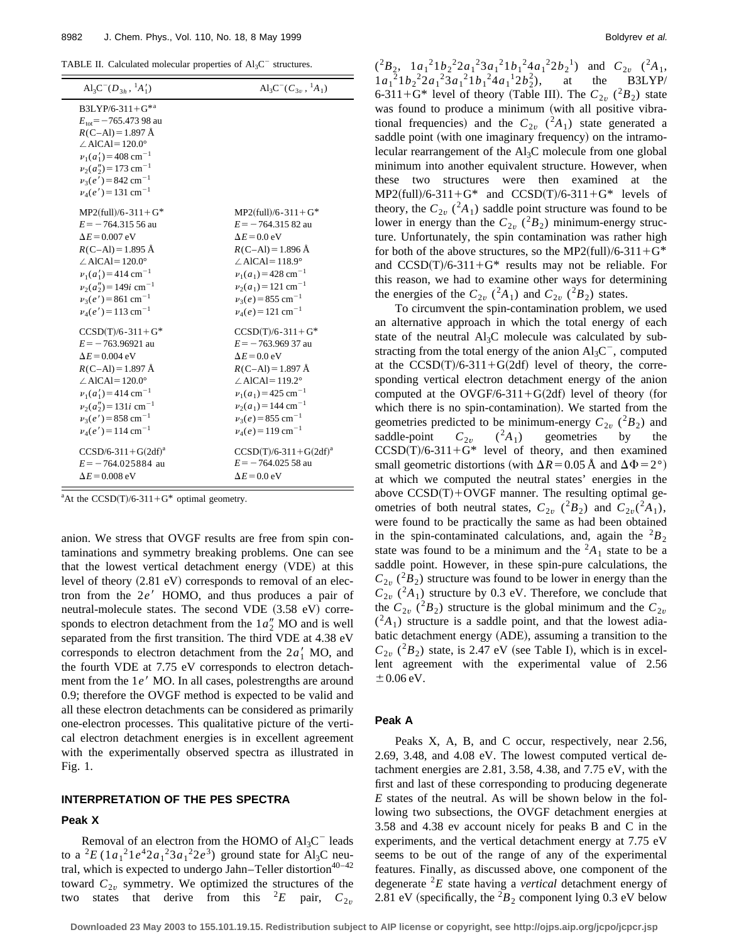| TABLE II. Calculated molecular properties of $Al_3C^-$ structures. |  |  |  |  |  |
|--------------------------------------------------------------------|--|--|--|--|--|
|--------------------------------------------------------------------|--|--|--|--|--|

| $\text{Al}_3\text{C}^-(D_{3h}, \,{}^1A_1')$                                                                                                                                                                                                                            | $\text{Al}_3\text{C}^-(C_{3v}, \,{}^1A_1)$ |
|------------------------------------------------------------------------------------------------------------------------------------------------------------------------------------------------------------------------------------------------------------------------|--------------------------------------------|
| $B3LYP/6-311+G^{*a}$<br>$E_{\text{tot}}$ = -765.473 98 au<br>$R(C-AI) = 1.897 \text{ Å}$<br>$\angle$ AlCAl=120.0°<br>$v_1(a'_1)$ = 408 cm <sup>-1</sup><br>$v_2(a_2'') = 173$ cm <sup>-1</sup><br>$v_3(e') = 842$ cm <sup>-1</sup><br>$v_4(e') = 131$ cm <sup>-1</sup> |                                            |
| $MP2$ (full)/6-311+G*                                                                                                                                                                                                                                                  | $MP2$ (full)/6-311+G*                      |
| $E = -764.31556$ au                                                                                                                                                                                                                                                    | $E = -764.31582$ au                        |
| $\Delta E$ = 0.007 eV                                                                                                                                                                                                                                                  | $\Delta E = 0.0$ eV                        |
| $R(C-Al) = 1.895 \text{ Å}$                                                                                                                                                                                                                                            | $R(C-Al) = 1.896 \text{ Å}$                |
| $\angle$ AlCAl=120.0°                                                                                                                                                                                                                                                  | $\angle$ AlCAl=118.9°                      |
| $v_1(a'_1) = 414$ cm <sup>-1</sup>                                                                                                                                                                                                                                     | $v_1(a_1) = 428$ cm <sup>-1</sup>          |
| $v_2(a_2'') = 149i$ cm <sup>-1</sup>                                                                                                                                                                                                                                   | $v_2(a_1) = 121$ cm <sup>-1</sup>          |
| $v_3(e') = 861$ cm <sup>-1</sup>                                                                                                                                                                                                                                       | $v_3(e) = 855$ cm <sup>-1</sup>            |
| $v_4(e') = 113$ cm <sup>-1</sup>                                                                                                                                                                                                                                       | $v_4(e) = 121$ cm <sup>-1</sup>            |
| $CCSD(T)/6-311+G*$                                                                                                                                                                                                                                                     | $CCSD(T)/6-311+G*$                         |
| $E = -763.96921$ au                                                                                                                                                                                                                                                    | $E = -763.96937$ au                        |
| $\Delta E$ = 0.004 eV                                                                                                                                                                                                                                                  | $\Delta E = 0.0$ eV                        |
| $R(C-Al) = 1.897 \text{ Å}$                                                                                                                                                                                                                                            | $R(C-Al) = 1.897 \text{ Å}$                |
| $\angle$ AlCAl=120.0°                                                                                                                                                                                                                                                  | $\angle$ AlCAl=119.2°                      |
| $v_1(a'_1)$ = 414 cm <sup>-1</sup>                                                                                                                                                                                                                                     | $v_1(a_1) = 425$ cm <sup>-1</sup>          |
| $v_2(a_2'') = 131i$ cm <sup>-1</sup>                                                                                                                                                                                                                                   | $v_2(a_1)$ = 144 cm <sup>-1</sup>          |
| $v_3(e') = 858$ cm <sup>-1</sup>                                                                                                                                                                                                                                       | $v_3(e) = 855$ cm <sup>-1</sup>            |
| $v_4(e') = 114$ cm <sup>-1</sup>                                                                                                                                                                                                                                       | $v_4(e) = 119$ cm <sup>-1</sup>            |
| $CCSD/6-311+G(2df)a$                                                                                                                                                                                                                                                   | $CCSD(T)/6-311+G(2df)^{a}$                 |
| $E = -764.025884$ au                                                                                                                                                                                                                                                   | $E = -764.02558$ au                        |
| $\Delta E$ = 0.008 eV                                                                                                                                                                                                                                                  | $\Delta E = 0.0$ eV                        |

<sup>a</sup>At the CCSD(T)/6-311+G\* optimal geometry.

anion. We stress that OVGF results are free from spin contaminations and symmetry breaking problems. One can see that the lowest vertical detachment energy (VDE) at this level of theory  $(2.81 \text{ eV})$  corresponds to removal of an electron from the 2e' HOMO, and thus produces a pair of neutral-molecule states. The second VDE  $(3.58 \text{ eV})$  corresponds to electron detachment from the  $1a_2''$  MO and is well separated from the first transition. The third VDE at 4.38 eV corresponds to electron detachment from the  $2a'_1$  MO, and the fourth VDE at 7.75 eV corresponds to electron detachment from the 1*e'* MO. In all cases, polestrengths are around 0.9; therefore the OVGF method is expected to be valid and all these electron detachments can be considered as primarily one-electron processes. This qualitative picture of the vertical electron detachment energies is in excellent agreement with the experimentally observed spectra as illustrated in Fig. 1.

# **INTERPRETATION OF THE PES SPECTRA**

#### **Peak X**

Removal of an electron from the HOMO of  $Al_3C^-$  leads to a  ${}^{2}E(1a_{1} {}^{2}1e^{4}2a_{1} {}^{2}3a_{1} {}^{2}2e^{3})$  ground state for Al<sub>3</sub>C neutral, which is expected to undergo Jahn–Teller distortion<sup>40-42</sup> toward  $C_{2v}$  symmetry. We optimized the structures of the two states that derive from this <sup>2</sup>E pair,  $C_{2v}$ 

 $({}^2B_2, 1a_1{}^21b_2{}^22a_1{}^23a_1{}^21b_1{}^24a_1{}^22b_2{}^1)$  and  $C_{2v}$   $({}^2A_1, 1a_1{}^21b_2{}^22a_1{}^23a_1{}^21b_1{}^24a_1{}^22b_2{}^1)$  $1a_1^2 1b_2^2 2a_1^2 3a_1^2 1b_1^2 4a_1^1 2b_2^2$ the B3LYP/ 6-311+G\* level of theory (Table III). The  $C_{2v}$  ( $^{2}B_{2}$ ) state was found to produce a minimum (with all positive vibrational frequencies) and the  $C_{2v}$  ( ${}^{2}A_{1}$ ) state generated a saddle point (with one imaginary frequency) on the intramolecular rearrangement of the Al3C molecule from one global minimum into another equivalent structure. However, when these two structures were then examined at the  $MP2$ (full)/6-311+G\* and CCSD(T)/6-311+G\* levels of theory, the  $C_{2v}$  (<sup>2</sup> $A_1$ ) saddle point structure was found to be lower in energy than the  $C_{2v}$  ( $^{2}B_{2}$ ) minimum-energy structure. Unfortunately, the spin contamination was rather high for both of the above structures, so the MP2(full)/6-311+G<sup>\*</sup> and  $CCSD(T)/6-311+G^*$  results may not be reliable. For this reason, we had to examine other ways for determining the energies of the  $C_{2v}$  (<sup>2</sup>*A*<sub>1</sub>) and  $C_{2v}$  (<sup>2</sup>*B*<sub>2</sub>) states.

To circumvent the spin-contamination problem, we used an alternative approach in which the total energy of each state of the neutral  $\text{Al}_3\text{C}$  molecule was calculated by substracting from the total energy of the anion  $Al_3C^-$ , computed at the  $CCSD(T)/6-311+G(2df)$  level of theory, the corresponding vertical electron detachment energy of the anion computed at the OVGF/6-311+G(2df) level of theory (for which there is no spin-contamination). We started from the geometries predicted to be minimum-energy  $C_{2v}$  ( $^{2}B_{2}$ ) and saddle-point  $C_{2v}$   $(^2A_1)$  geometries by the  $CCSD(T)/6-311+G*$  level of theory, and then examined small geometric distortions (with  $\Delta R$ =0.05 Å and  $\Delta \Phi$ =2°) at which we computed the neutral states' energies in the above  $CCSD(T) + OVGF$  manner. The resulting optimal geometries of both neutral states,  $C_{2v}$  ( $^{2}B_{2}$ ) and  $C_{2v}$ ( $^{2}A_{1}$ ), were found to be practically the same as had been obtained in the spin-contaminated calculations, and, again the  ${}^{2}B_{2}$ state was found to be a minimum and the  ${}^2A_1$  state to be a saddle point. However, in these spin-pure calculations, the  $C_{2\nu}$  ( $^{2}B_{2}$ ) structure was found to be lower in energy than the  $C_{2\nu}$  (<sup>2</sup>*A*<sub>1</sub>) structure by 0.3 eV. Therefore, we conclude that the  $C_{2v}$  ( $^{2}B_{2}$ ) structure is the global minimum and the  $C_{2v}$  $(2A_1)$  structure is a saddle point, and that the lowest adiabatic detachment energy (ADE), assuming a transition to the  $C_{2\nu}$  ( $^{2}B_{2}$ ) state, is 2.47 eV (see Table I), which is in excellent agreement with the experimental value of 2.56  $\pm 0.06$  eV.

# **Peak A**

Peaks X, A, B, and C occur, respectively, near 2.56, 2.69, 3.48, and 4.08 eV. The lowest computed vertical detachment energies are 2.81, 3.58, 4.38, and 7.75 eV, with the first and last of these corresponding to producing degenerate *E* states of the neutral. As will be shown below in the following two subsections, the OVGF detachment energies at 3.58 and 4.38 ev account nicely for peaks B and C in the experiments, and the vertical detachment energy at 7.75 eV seems to be out of the range of any of the experimental features. Finally, as discussed above, one component of the degenerate <sup>2</sup>*E* state having a *vertical* detachment energy of 2.81 eV (specifically, the  ${}^2B_2$  component lying 0.3 eV below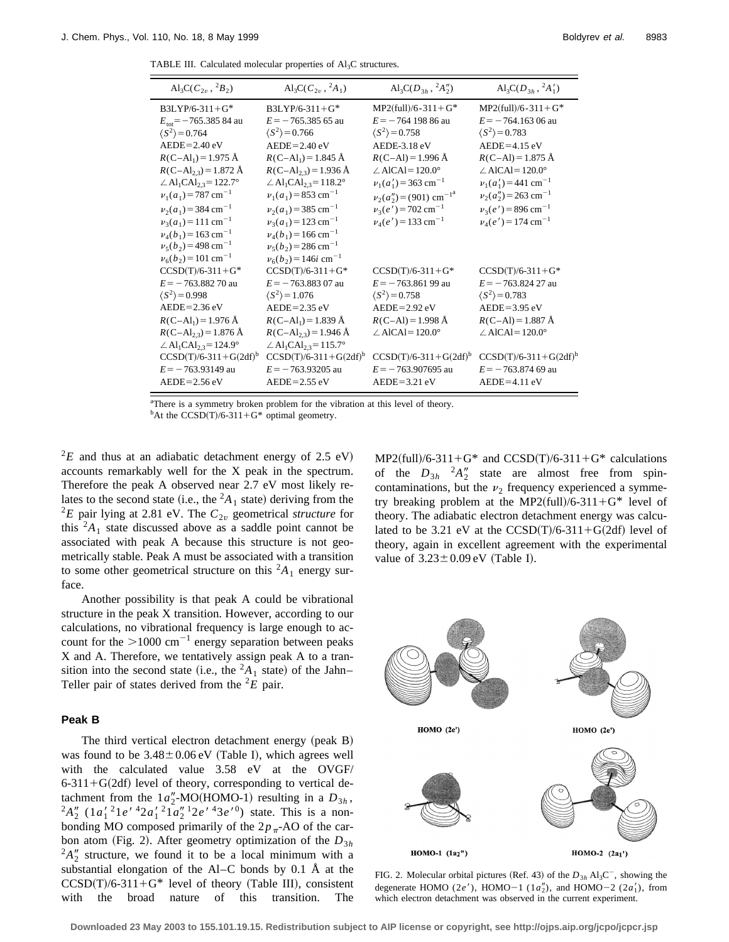TABLE III. Calculated molecular properties of  $Al<sub>3</sub>C$  structures.

| $\text{Al}_3\text{C}(C_{2v}, {}^2B_2)$              | $\text{Al}_3\text{C}(C_{2n}, {}^2A_1)$               | $\text{Al}_3\text{C}(D_{3h}, {}^2A_2'')$ | $\text{Al}_3\text{C}(D_{3h}, {}^2A_1')$ |
|-----------------------------------------------------|------------------------------------------------------|------------------------------------------|-----------------------------------------|
| $B3LYP/6-311+G^*$                                   | $B3LYP/6-311+G^*$                                    | $MP2$ (full)/6-311+G*                    | $MP2$ (full)/6-311+G*                   |
| $E_{\text{tot}}$ = -765.385 84 au                   | $E = -765.38565$ au                                  | $E = -764$ 198 86 au                     | $E = -764.16306$ au                     |
| $\langle S^2 \rangle$ = 0.764                       | $\langle S^2 \rangle$ = 0.766                        | $\langle S^2 \rangle$ = 0.758            | $\langle S^2 \rangle$ = 0.783           |
| $AEDE = 2.40 eV$                                    | $AEDE = 2.40 eV$                                     | AEDE-3.18 eV                             | $AEDE = 4.15$ eV                        |
| $R(C-Al_1) = 1.975 \text{ Å}$                       | $R(C - Al_1) = 1.845$ Å                              | $R(C-Al) = 1.996 \text{ Å}$              | $R(C-Al) = 1.875 \text{ Å}$             |
| $R(C-Al_{2,3}) = 1.872$ Å                           | $R(C-Al_{23}) = 1.936$ Å                             | $\angle$ AlCAl=120.0°                    | $\angle$ AlCAl=120.0°                   |
| $\angle$ Al <sub>1</sub> CAl <sub>2.3</sub> =122.7° | $\angle$ Al <sub>1</sub> CAl <sub>2.3</sub> = 118.2° | $v_1(a'_1)$ = 363 cm <sup>-1</sup>       | $v_1(a'_1)$ = 441 cm <sup>-1</sup>      |
| $v_1(a_1) = 787$ cm <sup>-1</sup>                   | $v_1(a_1) = 853$ cm <sup>-1</sup>                    | $v_2(a_2'') = (901)$ cm <sup>-1a</sup>   | $v_2(a_2'') = 263$ cm <sup>-1</sup>     |
| $v_2(a_1)$ = 384 cm <sup>-1</sup>                   | $v_2(a_1)$ = 385 cm <sup>-1</sup>                    | $v_3(e') = 702$ cm <sup>-1</sup>         | $v_3(e') = 896$ cm <sup>-1</sup>        |
| $v_3(a_1) = 111$ cm <sup>-1</sup>                   | $v_3(a_1) = 123$ cm <sup>-1</sup>                    | $v_4(e') = 133$ cm <sup>-1</sup>         | $v_4(e') = 174$ cm <sup>-1</sup>        |
| $v_4(b_1) = 163$ cm <sup>-1</sup>                   | $v_4(b_1) = 166$ cm <sup>-1</sup>                    |                                          |                                         |
| $v_5(b_2) = 498$ cm <sup>-1</sup>                   | $v_5(b_2) = 286$ cm <sup>-1</sup>                    |                                          |                                         |
| $v_6(b_2) = 101$ cm <sup>-1</sup>                   | $v_6(b_2) = 146i$ cm <sup>-1</sup>                   |                                          |                                         |
| $CCSD(T)/6-311+G^*$                                 | $CCSD(T)/6-311+G*$                                   | $CCSD(T)/6-311+G*$                       | $CCSD(T)/6-311+G*$                      |
| $E = -763.88270$ au                                 | $E = -763.88307$ au                                  | $E = -763.86199$ au                      | $E = -763.82427$ au                     |
| $\langle S^2 \rangle$ = 0.998                       | $\langle S^2 \rangle$ = 1.076                        | $\langle S^2 \rangle$ = 0.758            | $\langle S^2 \rangle$ = 0.783           |
| $AEDE = 2.36$ eV                                    | $AEDE = 2.35 eV$                                     | $AEDE = 2.92$ eV                         | $AEDE = 3.95$ eV                        |
| $R(C-Al_1) = 1.976 \text{ Å}$                       | $R(C-Al_1) = 1.839 \text{ Å}$                        | $R(C-Al) = 1.998 \text{ Å}$              | $R(C-Al) = 1.887 \text{ Å}$             |
| $R(C-Al_{23}) = 1.876$ Å                            | $R(C-Al_{23}) = 1.946$ Å                             | $\angle$ AlCAl=120.0°                    | $\angle$ AlCAl=120.0°                   |
| $\angle$ Al <sub>1</sub> CAl <sub>2.3</sub> =124.9° | $\angle$ Al <sub>1</sub> CAl <sub>2.3</sub> =115.7°  |                                          |                                         |
| $CCSD(T)/6-311+G(2df)^{b}$                          | $CCSD(T)/6-311+G(2df)^b$                             | $CCSD(T)/6-311+G(2df)^b$                 | $CCSD(T)/6-311+G(2df)^b$                |
| $E = -763.93149$ au                                 | $E = -763.93205$ au                                  | $E = -763.907695$ au                     | $E = -763.87469$ au                     |
| $AEDE = 2.56$ eV                                    | $AEDE = 2.55$ eV                                     | $AEDE = 3.21$ eV                         | $AEDE = 4.11$ eV                        |
|                                                     |                                                      |                                          |                                         |

<sup>a</sup>There is a symmetry broken problem for the vibration at this level of theory.

<sup>b</sup>At the CCSD(T)/6-311+G<sup>\*</sup> optimal geometry.

 ${}^{2}E$  and thus at an adiabatic detachment energy of 2.5 eV) accounts remarkably well for the X peak in the spectrum. Therefore the peak A observed near 2.7 eV most likely relates to the second state (i.e., the  ${}^2A_1$  state) deriving from the  ${}^{2}E$  pair lying at 2.81 eV. The  $C_{2v}$  geometrical *structure* for this  ${}^{2}A_1$  state discussed above as a saddle point cannot be associated with peak A because this structure is not geometrically stable. Peak A must be associated with a transition to some other geometrical structure on this  ${}^{2}A_1$  energy surface.

Another possibility is that peak A could be vibrational structure in the peak X transition. However, according to our calculations, no vibrational frequency is large enough to account for the  $>1000$  cm<sup>-1</sup> energy separation between peaks X and A. Therefore, we tentatively assign peak A to a transition into the second state (i.e., the  ${}^2A_1$  state) of the Jahn– Teller pair of states derived from the  ${}^{2}E$  pair.

# **Peak B**

The third vertical electron detachment energy (peak  $B$ ) was found to be  $3.48 \pm 0.06$  eV (Table I), which agrees well with the calculated value 3.58 eV at the OVGF/  $6-311+G(2df)$  level of theory, corresponding to vertical detachment from the  $1a''_2$ -MO(HOMO-1) resulting in a  $D_{3h}$ ,<br><sup>2</sup> $A''_2$  ( $1a'_1$ <sup>2</sup> $1e'$ <sup>4</sup> $2a'_1$ <sup>2</sup> $1a''_2$ <sup>1</sup> $2e'$ <sup>4</sup> $3e'$ <sup>0</sup>) state. This is a nonbonding MO composed primarily of the  $2p_{\pi}$ -AO of the carbon atom (Fig. 2). After geometry optimization of the  $D_{3h}$  $^{2}A_{2}^{\prime\prime}$  structure, we found it to be a local minimum with a substantial elongation of the Al–C bonds by 0.1 Å at the  $CCSD(T)/6-311+G^*$  level of theory (Table III), consistent with the broad nature of this transition. The  $MP2$ (full)/6-311+G\* and CCSD(T)/6-311+G\* calculations of the  $D_{3h}$ <sup>2</sup> $A_2''$  state are almost free from spincontaminations, but the  $\nu_2$  frequency experienced a symmetry breaking problem at the MP2(full)/6-311+G\* level of theory. The adiabatic electron detachment energy was calculated to be 3.21 eV at the  $CCSD(T)/6-311+G(2df)$  level of theory, again in excellent agreement with the experimental value of  $3.23 \pm 0.09$  eV (Table I).



FIG. 2. Molecular orbital pictures (Ref. 43) of the  $D_{3h}$  Al<sub>3</sub>C<sup>-</sup>, showing the degenerate HOMO (2*e'*), HOMO-1 (1*a*<sup> $\prime$ </sup><sub>2</sub>), and HOMO-2 (2*a*<sup> $\prime$ </sup><sub>1</sub>), from which electron detachment was observed in the current experiment.

**Downloaded 23 May 2003 to 155.101.19.15. Redistribution subject to AIP license or copyright, see http://ojps.aip.org/jcpo/jcpcr.jsp**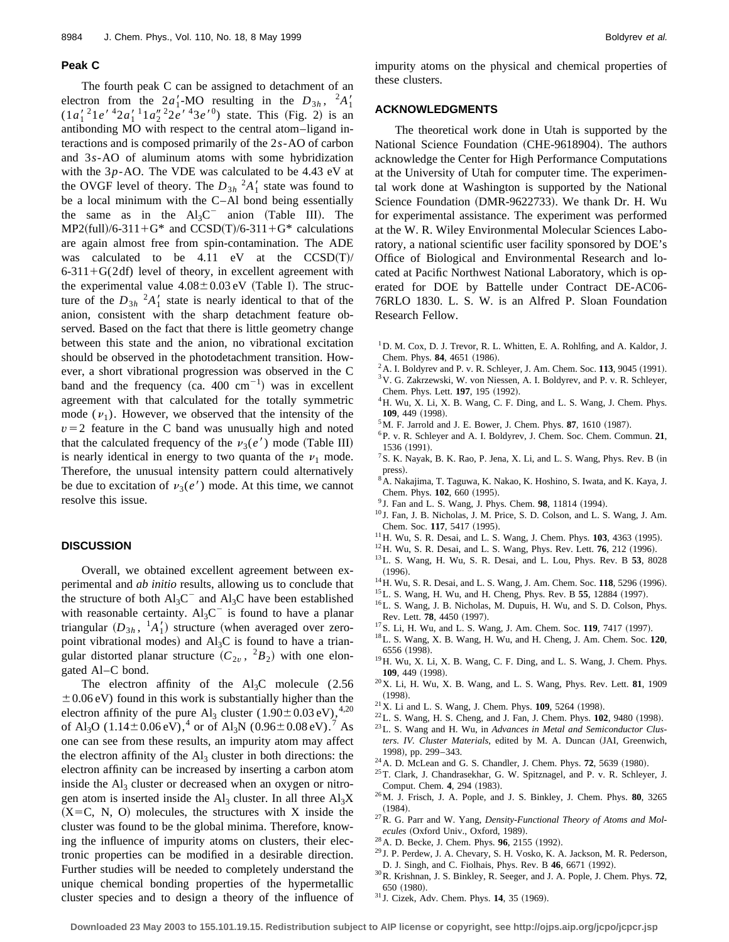#### **Peak C**

The fourth peak C can be assigned to detachment of an electron from the  $2a'_1$ -MO resulting in the  $D_{3h}$ ,  $2A'_1$  $(1a'_1^21e' {}^42a'_1 {}^11a''_2 {}^22e' {}^43e' {}^0)$  state. This (Fig. 2) is an antibonding MO with respect to the central atom–ligand interactions and is composed primarily of the 2*s*-AO of carbon and 3*s*-AO of aluminum atoms with some hybridization with the 3*p*-AO. The VDE was calculated to be 4.43 eV at the OVGF level of theory. The  $D_{3h}$ <sup>2</sup> $A'_1$  state was found to be a local minimum with the C–Al bond being essentially the same as in the  $Al<sub>3</sub>C<sup>-</sup>$  anion (Table III). The  $MP2$ (full)/6-311+G\* and CCSD(T)/6-311+G\* calculations are again almost free from spin-contamination. The ADE was calculated to be 4.11 eV at the  $CCSD(T)/$  $6-311+G(2df)$  level of theory, in excellent agreement with the experimental value  $4.08 \pm 0.03$  eV (Table I). The structure of the  $D_{3h}$ <sup>2</sup> $A'_1$  state is nearly identical to that of the anion, consistent with the sharp detachment feature observed. Based on the fact that there is little geometry change between this state and the anion, no vibrational excitation should be observed in the photodetachment transition. However, a short vibrational progression was observed in the C band and the frequency  $(ca. 400 \text{ cm}^{-1})$  was in excellent agreement with that calculated for the totally symmetric mode  $(\nu_1)$ . However, we observed that the intensity of the  $v=2$  feature in the C band was unusually high and noted that the calculated frequency of the  $v_3(e')$  mode (Table III) is nearly identical in energy to two quanta of the  $\nu_1$  mode. Therefore, the unusual intensity pattern could alternatively be due to excitation of  $\nu_3(e')$  mode. At this time, we cannot resolve this issue.

# **DISCUSSION**

Overall, we obtained excellent agreement between experimental and *ab initio* results, allowing us to conclude that the structure of both  $Al_3C^{\dagger}$  and  $Al_3C$  have been established with reasonable certainty.  $Al_3C^-$  is found to have a planar triangular  $(D_{3h}$ ,  $^{1}A'_{1})$  structure (when averaged over zeropoint vibrational modes) and  $\text{Al}_3\text{C}$  is found to have a triangular distorted planar structure  $(C_{2v}$ ,  $^{2}B_{2})$  with one elongated Al–C bond.

The electron affinity of the  $Al_3C$  molecule (2.56)  $\pm 0.06$  eV) found in this work is substantially higher than the electron affinity of the pure Al<sub>3</sub> cluster  $(1.90 \pm 0.03 \text{ eV})$ ,<sup>4,20</sup> of Al<sub>3</sub>O (1.14±0.06 eV),<sup>4</sup> or of Al<sub>3</sub>N (0.96±0.08 eV).<sup>7</sup> As one can see from these results, an impurity atom may affect the electron affinity of the  $Al<sub>3</sub>$  cluster in both directions: the electron affinity can be increased by inserting a carbon atom inside the  $Al<sub>3</sub>$  cluster or decreased when an oxygen or nitrogen atom is inserted inside the  $\text{Al}_3$  cluster. In all three  $\text{Al}_3\text{X}$  $(X=C, N, O)$  molecules, the structures with X inside the cluster was found to be the global minima. Therefore, knowing the influence of impurity atoms on clusters, their electronic properties can be modified in a desirable direction. Further studies will be needed to completely understand the unique chemical bonding properties of the hypermetallic cluster species and to design a theory of the influence of impurity atoms on the physical and chemical properties of these clusters.

## **ACKNOWLEDGMENTS**

The theoretical work done in Utah is supported by the National Science Foundation (CHE-9618904). The authors acknowledge the Center for High Performance Computations at the University of Utah for computer time. The experimental work done at Washington is supported by the National Science Foundation (DMR-9622733). We thank Dr. H. Wu for experimental assistance. The experiment was performed at the W. R. Wiley Environmental Molecular Sciences Laboratory, a national scientific user facility sponsored by DOE's Office of Biological and Environmental Research and located at Pacific Northwest National Laboratory, which is operated for DOE by Battelle under Contract DE-AC06- 76RLO 1830. L. S. W. is an Alfred P. Sloan Foundation Research Fellow.

- <sup>1</sup>D. M. Cox, D. J. Trevor, R. L. Whitten, E. A. Rohlfing, and A. Kaldor, J. Chem. Phys. 84, 4651 (1986).
- ${}^{2}$  A. I. Boldyrev and P. v. R. Schleyer, J. Am. Chem. Soc. 113, 9045 (1991).
- 3V. G. Zakrzewski, W. von Niessen, A. I. Boldyrev, and P. v. R. Schleyer, Chem. Phys. Lett. **197**, 195 (1992).
- <sup>4</sup>H. Wu, X. Li, X. B. Wang, C. F. Ding, and L. S. Wang, J. Chem. Phys. 109, 449 (1998).
- <sup>5</sup>M. F. Jarrold and J. E. Bower, J. Chem. Phys. **87**, 1610 (1987).
- 6P. v. R. Schleyer and A. I. Boldyrev, J. Chem. Soc. Chem. Commun. **21**, 1536 (1991).
- <sup>7</sup> S. K. Nayak, B. K. Rao, P. Jena, X. Li, and L. S. Wang, Phys. Rev. B (in press).
- 8A. Nakajima, T. Taguwa, K. Nakao, K. Hoshino, S. Iwata, and K. Kaya, J. Chem. Phys. **102**, 660 (1995).
- <sup>9</sup> J. Fan and L. S. Wang, J. Phys. Chem. **98**, 11814 (1994).
- <sup>10</sup> J. Fan, J. B. Nicholas, J. M. Price, S. D. Colson, and L. S. Wang, J. Am. Chem. Soc. 117, 5417 (1995).
- $11$ <sup>H</sup>. Wu, S. R. Desai, and L. S. Wang, J. Chem. Phys. **103**, 4363 (1995).
- <sup>12</sup>H. Wu, S. R. Desai, and L. S. Wang, Phys. Rev. Lett. **76**, 212 (1996).
- 13L. S. Wang, H. Wu, S. R. Desai, and L. Lou, Phys. Rev. B **53**, 8028  $(1996).$
- <sup>14</sup> H. Wu, S. R. Desai, and L. S. Wang, J. Am. Chem. Soc. **118**, 5296 (1996).
- <sup>15</sup>L. S. Wang, H. Wu, and H. Cheng, Phys. Rev. B 55, 12884 (1997).
- 16L. S. Wang, J. B. Nicholas, M. Dupuis, H. Wu, and S. D. Colson, Phys. Rev. Lett. **78**, 4450 (1997).
- <sup>17</sup> S. Li, H. Wu, and L. S. Wang, J. Am. Chem. Soc. **119**, 7417 (1997).
- 18L. S. Wang, X. B. Wang, H. Wu, and H. Cheng, J. Am. Chem. Soc. **120**, 6556 (1998).
- 19H. Wu, X. Li, X. B. Wang, C. F. Ding, and L. S. Wang, J. Chem. Phys. **109.** 449 (1998).
- 20X. Li, H. Wu, X. B. Wang, and L. S. Wang, Phys. Rev. Lett. **81**, 1909  $(1998).$
- <sup>21</sup>X. Li and L. S. Wang, J. Chem. Phys. **109**, 5264 (1998).
- <sup>22</sup>L. S. Wang, H. S. Cheng, and J. Fan, J. Chem. Phys. **102**, 9480 (1998).
- 23L. S. Wang and H. Wu, in *Advances in Metal and Semiconductor Clus*ters. IV. Cluster Materials, edited by M. A. Duncan (JAI, Greenwich, 1998), pp. 299-343.
- <sup>24</sup> A. D. McLean and G. S. Chandler, J. Chem. Phys. **72**, 5639 (1980).
- 25T. Clark, J. Chandrasekhar, G. W. Spitznagel, and P. v. R. Schleyer, J. Comput. Chem. **4**, 294 (1983).
- 26M. J. Frisch, J. A. Pople, and J. S. Binkley, J. Chem. Phys. **80**, 3265  $(1984).$
- 27R. G. Parr and W. Yang, *Density-Functional Theory of Atoms and Molecules* (Oxford Univ., Oxford, 1989).
- <sup>28</sup> A. D. Becke, J. Chem. Phys. **96**, 2155 (1992).
- <sup>29</sup> J. P. Perdew, J. A. Chevary, S. H. Vosko, K. A. Jackson, M. R. Pederson, D. J. Singh, and C. Fiolhais, Phys. Rev. B 46, 6671 (1992).
- 30R. Krishnan, J. S. Binkley, R. Seeger, and J. A. Pople, J. Chem. Phys. **72**, 650 (1980).
- <sup>31</sup> J. Cizek, Adv. Chem. Phys. **14**, 35 (1969).